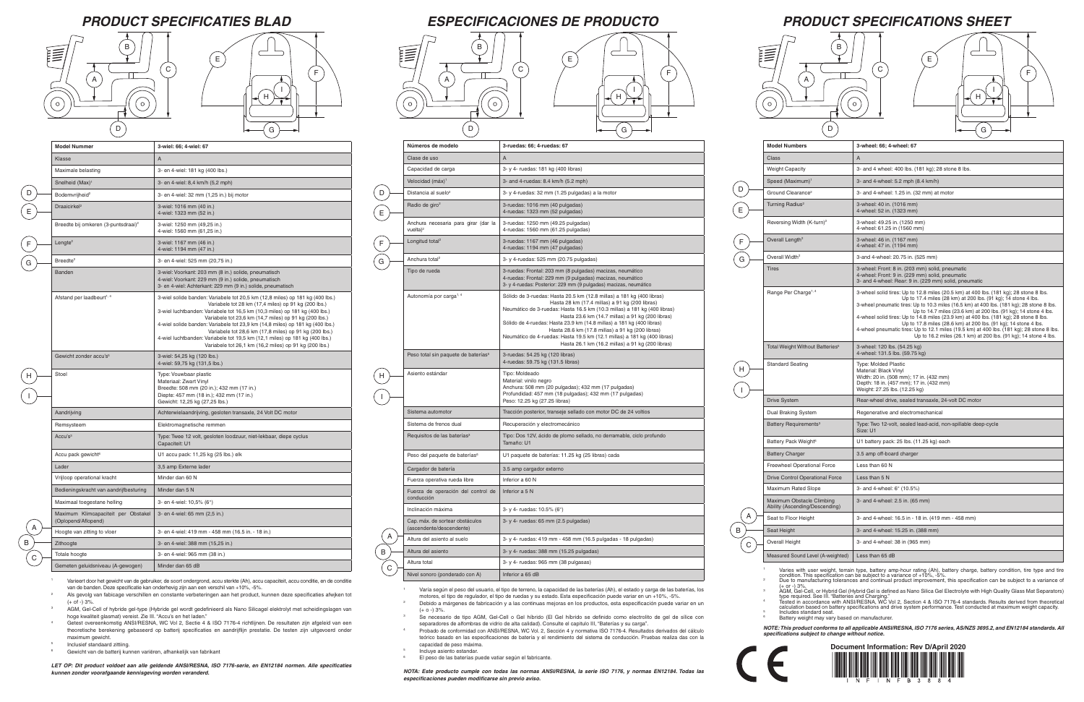I

# *PRODUCT SPECIFICATIONS SHEET*

| <b>Model Numbers</b>                                        | 3-wheel: 66; 4-wheel: 67                                                                                                                                                                                                                                                                                                                                                                                                                                                                                                                                                                                                                           |  |
|-------------------------------------------------------------|----------------------------------------------------------------------------------------------------------------------------------------------------------------------------------------------------------------------------------------------------------------------------------------------------------------------------------------------------------------------------------------------------------------------------------------------------------------------------------------------------------------------------------------------------------------------------------------------------------------------------------------------------|--|
| <b>Class</b>                                                | A                                                                                                                                                                                                                                                                                                                                                                                                                                                                                                                                                                                                                                                  |  |
| <b>Weight Capacity</b>                                      | 3- and 4 wheel: 400 lbs. (181 kg); 28 stone 8 lbs.                                                                                                                                                                                                                                                                                                                                                                                                                                                                                                                                                                                                 |  |
| Speed (Maximum) <sup>1</sup>                                | 3- and 4-wheel: 5.2 mph (8.4 km/h)                                                                                                                                                                                                                                                                                                                                                                                                                                                                                                                                                                                                                 |  |
| Ground Clearance <sup>2</sup>                               | 3- and 4-wheel: 1.25 in. (32 mm) at motor                                                                                                                                                                                                                                                                                                                                                                                                                                                                                                                                                                                                          |  |
| Turning Radius <sup>2</sup>                                 | 3-wheel: 40 in. (1016 mm)<br>4-wheel: 52 in. (1323 mm)                                                                                                                                                                                                                                                                                                                                                                                                                                                                                                                                                                                             |  |
| Reversing Width (K-turn) <sup>2</sup>                       | 3-wheel: 49.25 in. (1250 mm)<br>4-wheel: 61.25 in (1560 mm)                                                                                                                                                                                                                                                                                                                                                                                                                                                                                                                                                                                        |  |
| Overall Length <sup>2</sup>                                 | 3-wheel: 46 in. (1167 mm)<br>4-wheel: 47 in. (1194 mm)                                                                                                                                                                                                                                                                                                                                                                                                                                                                                                                                                                                             |  |
| Overall Width <sup>2</sup>                                  | 3-and 4-wheel: 20.75 in. (525 mm)                                                                                                                                                                                                                                                                                                                                                                                                                                                                                                                                                                                                                  |  |
| <b>Tires</b>                                                | 3-wheel: Front: 8 in. (203 mm) solid, pneumatic<br>4-wheel: Front: 9 in. (229 mm) solid, pneumatic<br>3- and 4-wheel: Rear: 9 in. (229 mm) solid, pneumatic                                                                                                                                                                                                                                                                                                                                                                                                                                                                                        |  |
| Range Per Charge <sup>1, 4</sup>                            | 3-wheel solid tires: Up to 12.8 miles (20.5 km) at 400 lbs. (181 kg); 28 stone 8 lbs.<br>Up to 17.4 miles (28 km) at 200 lbs. (91 kg); 14 stone 4 lbs.<br>3-wheel pneumatic tires: Up to 10.3 miles (16.5 km) at 400 lbs. (181 kg); 28 stone 8 lbs.<br>Up to 14.7 miles (23.6 km) at 200 lbs. (91 kg); 14 stone 4 lbs.<br>4-wheel solid tires: Up to 14.8 miles (23.9 km) at 400 lbs. (181 kg); 28 stone 8 lbs.<br>Up to 17.8 miles (28.6 km) at 200 lbs. (91 kg); 14 stone 4 lbs.<br>4-wheel pneumatic tires: Up to 12.1 miles (19.5 km) at 400 lbs. (181 kg); 28 stone 8 lbs.<br>Up to 16.2 miles (26.1 km) at 200 lbs. (91 kg); 14 stone 4 lbs. |  |
| Total Weight Without Batteries <sup>5</sup>                 | 3-wheel: 120 lbs. (54.25 kg)<br>4-wheel: 131.5 lbs. (59.75 kg)                                                                                                                                                                                                                                                                                                                                                                                                                                                                                                                                                                                     |  |
| <b>Standard Seating</b>                                     | Type: Molded Plastic<br>Material: Black Vinyl<br>Width: 20 in. (508 mm); 17 in. (432 mm)<br>Depth: 18 in. (457 mm); 17 in. (432 mm)<br>Weight: 27.25 lbs. (12.25 kg)                                                                                                                                                                                                                                                                                                                                                                                                                                                                               |  |
| <b>Drive System</b>                                         | Rear-wheel drive, sealed transaxle, 24-volt DC motor                                                                                                                                                                                                                                                                                                                                                                                                                                                                                                                                                                                               |  |
| Dual Braking System                                         | Regenerative and electromechanical                                                                                                                                                                                                                                                                                                                                                                                                                                                                                                                                                                                                                 |  |
| Battery Requirements <sup>3</sup>                           | Type: Two 12-volt, sealed lead-acid, non-spillable deep-cycle<br>Size: U1                                                                                                                                                                                                                                                                                                                                                                                                                                                                                                                                                                          |  |
| Battery Pack Weight <sup>6</sup>                            | U1 battery pack: 25 lbs. (11.25 kg) each                                                                                                                                                                                                                                                                                                                                                                                                                                                                                                                                                                                                           |  |
| <b>Battery Charger</b>                                      | 3.5 amp off-board charger                                                                                                                                                                                                                                                                                                                                                                                                                                                                                                                                                                                                                          |  |
| <b>Freewheel Operational Force</b>                          | Less than 60 N                                                                                                                                                                                                                                                                                                                                                                                                                                                                                                                                                                                                                                     |  |
| Drive Control Operational Force                             | Less than 5 N                                                                                                                                                                                                                                                                                                                                                                                                                                                                                                                                                                                                                                      |  |
| Maximum Rated Slope                                         | 3- and 4-wheel: 6° (10.5%)                                                                                                                                                                                                                                                                                                                                                                                                                                                                                                                                                                                                                         |  |
| Maximum Obstacle Climbing<br>Ability (Ascending/Descending) | 3- and 4-wheel: 2.5 in. (65 mm)                                                                                                                                                                                                                                                                                                                                                                                                                                                                                                                                                                                                                    |  |
| Seat to Floor Height                                        | 3- and 4-wheel: 16.5 in - 18 in. (419 mm - 458 mm)                                                                                                                                                                                                                                                                                                                                                                                                                                                                                                                                                                                                 |  |
| Seat Height                                                 | 3- and 4-wheel: 15.25 in. (388 mm)                                                                                                                                                                                                                                                                                                                                                                                                                                                                                                                                                                                                                 |  |
| <b>Overall Height</b>                                       | 3- and 4-wheel: 38 in (965 mm)                                                                                                                                                                                                                                                                                                                                                                                                                                                                                                                                                                                                                     |  |
| Measured Sound Level (A-weighted)                           | Less than 65 dB                                                                                                                                                                                                                                                                                                                                                                                                                                                                                                                                                                                                                                    |  |

Varies with user weight, terrain type, battery amp-hour rating (Ah), battery charge, battery condition, tire type and tire<br>condition. This specification can be subject to a variance of +10%, -5%.<br>Due to manufacturing toler

(+ or -) 3%.<br>AGM, Gel-Cell, or Hybrid Gel (Hybrid Gel is defined as Nano Silica Gel Electrolyte with High Quality Glass Mat Separators)<br>type required. See III. "Batteries and Charging."<br>Tested in accordance with ANSI/RESNA calculation based on battery specifications and drive system performance. Test conducted at maximum weight capacity. <sup>5</sup> Includes standard seat.

Battery weight may vary based on manufacturer.



| <b>Battery Pack</b> |
|---------------------|
| <b>Battery Cha</b>  |

Freewheel O

Drive Contro

Maximum Ra Maximum Ol

Ability (Asce

- Seat to Floor Seat Height A B
- Overall Height
- Measured So  $\overline{C}$ 
	-
	-
	-
	-
	-

F

F G

### *PRODUCT SPECIFICATIES BLAD ESPECIFICACIONES DE PRODUCTO*

- <sup>1</sup> Varía según el peso del usuario, el tipo de terreno, la capacidad de las baterías (Ah), el estado y carga de las baterías, los motores, el tipo de regulador, el tipo de ruedas y su estado. Esta especificación puede variar en un +10%, -5%. <sup>2</sup> Debido a márgenes de fabricación y a las continuas mejoras en los productos, esta especificación puede variar en un
- $(+ 0 3\%$ . <sup>3</sup> Se necesario de tipo AGM, Gel-Cell o Gel híbrido (El Gel híbrido se definido como electrolito de gel de sílice con separadores de alfombras de vidrio de alta calidad). Consulte el capitulo III, "Baterías y su carga".
- <sup>4</sup> Probado de conformidad con ANSI/RESNA, WC Vol. 2, Sección 4 y normativa ISO 7176-4. Resultados derivados del cálculo teórico basado en las especificaciones de batería y el rendimiento del sistema de conducción. Pruebas realiza das con la capacidad de peso máxima.
- <sup>5</sup> Incluye asiento estandar.
- El peso de las baterías puede vatiar según el fabricante.

*NOTE: This product conforms to all applicable ANSI/RESNA, ISO 7176 series, AS/NZS 3695.2, and EN12184 standards. All specifications subject to change without notice.*

| Números de modelo                                           | 3-ruedas: 66; 4-ruedas: 67                                                                                                                                                                                                                                                                                                                                                                                                                                                                                           |
|-------------------------------------------------------------|----------------------------------------------------------------------------------------------------------------------------------------------------------------------------------------------------------------------------------------------------------------------------------------------------------------------------------------------------------------------------------------------------------------------------------------------------------------------------------------------------------------------|
| Clase de uso                                                | A                                                                                                                                                                                                                                                                                                                                                                                                                                                                                                                    |
| Capacidad de carga                                          | 3- y 4- ruedas: 181 kg (400 libras)                                                                                                                                                                                                                                                                                                                                                                                                                                                                                  |
| Velocidad (máx) <sup>1</sup>                                | 3- and 4-ruedas: 8.4 km/h (5.2 mph)                                                                                                                                                                                                                                                                                                                                                                                                                                                                                  |
| Distancia al suelo <sup>2</sup>                             | 3- y 4-ruedas: 32 mm (1.25 pulgadas) a la motor                                                                                                                                                                                                                                                                                                                                                                                                                                                                      |
| Radio de giro <sup>2</sup>                                  | 3-ruedas: 1016 mm (40 pulgadas)<br>4-ruedas: 1323 mm (52 pulgadas)                                                                                                                                                                                                                                                                                                                                                                                                                                                   |
| Anchura necesaria para girar (dar la<br>vuelta $)^2$        | 3-ruedas: 1250 mm (49.25 pulgadas)<br>4-ruedas: 1560 mm (61.25 pulgadas)                                                                                                                                                                                                                                                                                                                                                                                                                                             |
| Longitud total <sup>2</sup>                                 | 3-ruedas: 1167 mm (46 pulgadas)<br>4-ruedas: 1194 mm (47 pulgadas)                                                                                                                                                                                                                                                                                                                                                                                                                                                   |
| Anchura total <sup>2</sup>                                  | 3- y 4-ruedas: 525 mm (20.75 pulgadas)                                                                                                                                                                                                                                                                                                                                                                                                                                                                               |
| Tipo de rueda                                               | 3-ruedas: Frontal: 203 mm (8 pulgadas) macizas, neumático<br>4-ruedas: Frontal: 229 mm (9 pulgadas) macizas, neumático<br>3- y 4-ruedas: Posterior: 229 mm (9 pulgadas) macizas, neumático                                                                                                                                                                                                                                                                                                                           |
| Autonomía por carga <sup>1, 4</sup>                         | Sólido de 3-ruedas: Hasta 20.5 km (12.8 millas) a 181 kg (400 libras)<br>Hasta 28 km (17.4 millas) a 91 kg (200 libras)<br>Neumático de 3-ruedas: Hasta 16.5 km (10.3 millas) a 181 kg (400 libras)<br>Hasta 23.6 km (14.7 millas) a 91 kg (200 libras)<br>Sólido de 4-ruedas: Hasta 23.9 km (14.8 millas) a 181 kg (400 libras)<br>Hasta 28.6 km (17.8 millas) a 91 kg (200 libras)<br>Neumático de 4-ruedas: Hasta 19.5 km (12.1 millas) a 181 kg (400 libras)<br>Hasta 26.1 km (16.2 millas) a 91 kg (200 libras) |
| Peso total sin paquete de baterías <sup>5</sup>             | 3-ruedas: 54.25 kg (120 libras)<br>4-ruedas: 59.75 kg (131.5 libras)                                                                                                                                                                                                                                                                                                                                                                                                                                                 |
| Asiento estándar                                            | Tipo: Moldeado<br>Material: vinilo negro<br>Anchura: 508 mm (20 pulgadas); 432 mm (17 pulgadas)<br>Profundidad: 457 mm (18 pulgadas); 432 mm (17 pulgadas)<br>Peso: 12.25 kg (27.25 libras)                                                                                                                                                                                                                                                                                                                          |
| Sistema automotor                                           | Tracción posterior, transeje sellado con motor DC de 24 voltios                                                                                                                                                                                                                                                                                                                                                                                                                                                      |
| Sistema de frenos dual                                      | Recuperación y electromecánico                                                                                                                                                                                                                                                                                                                                                                                                                                                                                       |
| Requisitos de las baterías <sup>3</sup>                     | Tipo: Dos 12V, ácido de plomo sellado, no derramable, ciclo profundo<br>Tamaño: U1                                                                                                                                                                                                                                                                                                                                                                                                                                   |
| Peso del paquete de baterías <sup>6</sup>                   | U1 paquete de baterías: 11.25 kg (25 libras) cada                                                                                                                                                                                                                                                                                                                                                                                                                                                                    |
| Cargador de batería                                         | 3.5 amp cargador externo                                                                                                                                                                                                                                                                                                                                                                                                                                                                                             |
| Fuerza operativa rueda libre                                | Inferior a 60 N                                                                                                                                                                                                                                                                                                                                                                                                                                                                                                      |
| Fuerza de operación del control de<br>conducción            | Inferior a 5 N                                                                                                                                                                                                                                                                                                                                                                                                                                                                                                       |
| Inclinación máxima                                          | 3- y 4- ruedas: 10.5% (6°)                                                                                                                                                                                                                                                                                                                                                                                                                                                                                           |
| Cap. máx. de sortear obstáculos<br>(ascendente/descendente) | 3- y 4- ruedas: 65 mm (2.5 pulgadas)                                                                                                                                                                                                                                                                                                                                                                                                                                                                                 |
| Altura del asiento al suelo                                 | 3- y 4- ruedas: 419 mm - 458 mm (16.5 pulgadas - 18 pulgadas)                                                                                                                                                                                                                                                                                                                                                                                                                                                        |
| Altura del asiento                                          | 3- y 4- ruedas: 388 mm (15.25 pulgadas)                                                                                                                                                                                                                                                                                                                                                                                                                                                                              |
| Altura total                                                | 3- y 4- ruedas: 965 mm (38 pulgasas)                                                                                                                                                                                                                                                                                                                                                                                                                                                                                 |
| Nivel sonoro (ponderado con A)                              | Inferior a 65 dB                                                                                                                                                                                                                                                                                                                                                                                                                                                                                                     |

- Varieert door het gewicht van de gebruiker, de soort ondergrond, accu sterkte (Ah), accu capaciteit, accu conditie, en de conditie van de banden. Deze specificatie kan onderhevig zijn aan een verschil van +10%, -5%.
- <sup>2</sup> Als gevolg van fabicage verschillen en constante verbeteringen aan het product, kunnen deze specificaties afwjken tot  $(+ 0f - 3\%$ .
- <sup>3</sup> AGM, Gel-Cell of hybride gel-type (Hybride gel wordt gedefinieerd als Nano Silicagel elektrolyt met scheidingslagen van hoge kwaliteit glasmat) vereist. Zie III. "Accu's en het laden."
- <sup>4</sup> Getest overeenkomstig ANSI/RESNA, WC Vol 2, Sectie 4 & ISO 7176-4 richtlijnen. De resultaten zijn afgeleid van een theoretische berekening gebaseerd op batterij specificaties en aandrijflijn prestatie. De testen zijn uitgevoerd onder maximum gewicht.
- <sup>5</sup> Inclusief standaard zittiing.
- <sup>6</sup> Gewicht van de batterij kunnen variëren, afhankelijk van fabrikant

*NOTA: Este producto cumple con todas las normas ANSI/RESNA, la serie ISO 7176, y normas EN12184. Todas las especificaciones pueden modificarse sin previo aviso.*

**Model Numb** Class Weight Capad Speed (Maximum) Ground Clea Turning Radi Reversing W Overall Length Overall Width

Total Weight Standard Sea

 $\overline{H}$ 

|   | <b>Model Nummer</b>                                        | 3-wiel: 66; 4-wiel: 67                                                                                                                                                                                                                                                                                                                                                                                                                                                                                                                                             |
|---|------------------------------------------------------------|--------------------------------------------------------------------------------------------------------------------------------------------------------------------------------------------------------------------------------------------------------------------------------------------------------------------------------------------------------------------------------------------------------------------------------------------------------------------------------------------------------------------------------------------------------------------|
|   | Klasse                                                     | A                                                                                                                                                                                                                                                                                                                                                                                                                                                                                                                                                                  |
|   | Maximale belasting                                         | 3- en 4-wiel: 181 kg (400 lbs.)                                                                                                                                                                                                                                                                                                                                                                                                                                                                                                                                    |
|   | Snelheid (Max) <sup>1</sup>                                | 3- en 4-wiel: 8,4 km/h (5,2 mph)                                                                                                                                                                                                                                                                                                                                                                                                                                                                                                                                   |
| D | Bodemvrijheid <sup>2</sup>                                 | 3- en 4-wiel: 32 mm (1,25 in.) bij motor                                                                                                                                                                                                                                                                                                                                                                                                                                                                                                                           |
|   | Draaicirkel <sup>2</sup>                                   | 3-wiel: 1016 mm (40 in.)<br>4-wiel: 1323 mm (52 in.)                                                                                                                                                                                                                                                                                                                                                                                                                                                                                                               |
|   | Breedte bij omkeren (3-puntsdraai) <sup>2</sup>            | 3-wiel: 1250 mm (49,25 in.)<br>4-wiel: 1560 mm (61,25 in.)                                                                                                                                                                                                                                                                                                                                                                                                                                                                                                         |
|   | Lengte <sup>2</sup>                                        | 3-wiel: 1167 mm (46 in.)<br>4-wiel: 1194 mm (47 in.)                                                                                                                                                                                                                                                                                                                                                                                                                                                                                                               |
|   | Breedte <sup>2</sup>                                       | 3- en 4-wiel: 525 mm (20,75 in.)                                                                                                                                                                                                                                                                                                                                                                                                                                                                                                                                   |
|   | <b>Banden</b>                                              | 3-wiel: Voorkant: 203 mm (8 in.) solide, pneumatisch<br>4-wiel: Voorkant: 229 mm (9 in.) solide, pneumatisch<br>3- en 4-wiel: Achterkant: 229 mm (9 in.) solide, pneumatisch                                                                                                                                                                                                                                                                                                                                                                                       |
|   | Afstand per laadbeurt <sup>1, 4</sup>                      | 3-wiel solide banden: Variabele tot 20,5 km (12,8 miles) op 181 kg (400 lbs.)<br>Variabele tot 28 km (17,4 miles) op 91 kg (200 lbs.)<br>3-wiel luchtbanden: Variabele tot 16,5 km (10,3 miles) op 181 kg (400 lbs.)<br>Variabele tot 23,6 km (14,7 miles) op 91 kg (200 lbs.)<br>4-wiel solide banden: Variabele tot 23,9 km (14,8 miles) op 181 kg (400 lbs.)<br>Variabele tot 28,6 km (17,8 miles) op 91 kg (200 lbs.)<br>4-wiel luchtbanden: Variabele tot 19,5 km (12,1 miles) op 181 kg (400 lbs.)<br>Variabele tot 26,1 km (16,2 miles) op 91 kg (200 lbs.) |
|   | Gewicht zonder accu's <sup>5</sup>                         | 3-wiel: 54,25 kg (120 lbs.)<br>4-wiel: 59,75 kg (131,5 lbs.)                                                                                                                                                                                                                                                                                                                                                                                                                                                                                                       |
|   | Stoel                                                      | Type: Vouwbaar plastic<br>Materiaal: Zwart Vinyl<br>Breedte: 508 mm (20 in.); 432 mm (17 in.)<br>Diepte: 457 mm (18 in.); 432 mm (17 in.)<br>Gewicht: 12,25 kg (27,25 lbs.)                                                                                                                                                                                                                                                                                                                                                                                        |
|   | Aandrijving                                                | Achterwielaandrijving, gesloten transaxle, 24 Volt DC motor                                                                                                                                                                                                                                                                                                                                                                                                                                                                                                        |
|   | Remsysteem                                                 | Elektromagnetische remmen                                                                                                                                                                                                                                                                                                                                                                                                                                                                                                                                          |
|   | Accu's <sup>3</sup>                                        | Type: Twee 12 volt, gesloten loodzuur, niet-lekbaar, diepe cyclus<br>Capaciteit: U1                                                                                                                                                                                                                                                                                                                                                                                                                                                                                |
|   | Accu pack gewicht <sup>6</sup>                             | U1 accu pack: 11,25 kg (25 lbs.) elk                                                                                                                                                                                                                                                                                                                                                                                                                                                                                                                               |
|   | Lader                                                      | 3,5 amp Externe lader                                                                                                                                                                                                                                                                                                                                                                                                                                                                                                                                              |
|   | Vrijloop operational kracht                                | Minder dan 60 N                                                                                                                                                                                                                                                                                                                                                                                                                                                                                                                                                    |
|   | Bedieningskracht van aandrijfbesturing                     | Minder dan 5 N                                                                                                                                                                                                                                                                                                                                                                                                                                                                                                                                                     |
|   | Maximaal toegestane helling                                | 3- en 4-wiel: 10,5% (6°)                                                                                                                                                                                                                                                                                                                                                                                                                                                                                                                                           |
|   | Maximum Klimcapaciteit per Obstakel<br>(Oplopend/Aflopend) | 3- en 4-wiel: 65 mm (2,5 in.)                                                                                                                                                                                                                                                                                                                                                                                                                                                                                                                                      |
|   | Hoogte van zitting to vloer                                | 3- en 4-wiel: 419 mm - 458 mm (16.5 in. - 18 in.)                                                                                                                                                                                                                                                                                                                                                                                                                                                                                                                  |
|   | Zithoogte                                                  | 3- en 4-wiel: 388 mm (15,25 in.)                                                                                                                                                                                                                                                                                                                                                                                                                                                                                                                                   |
| С | Totale hoogte                                              | 3- en 4-wiel: 965 mm (38 in.)                                                                                                                                                                                                                                                                                                                                                                                                                                                                                                                                      |
|   |                                                            | Minder dan 65 dB                                                                                                                                                                                                                                                                                                                                                                                                                                                                                                                                                   |

*LET OP: Dit product voldoet aan alle geldende ANSI/RESNA, ISO 7176-serie, en EN12184 normen. Alle specificaties kunnen zonder voorafgaande kennisgeving worden veranderd.*

B B

 $\odot$ 

A A

C C

D D







 $\left($  D

 $E$ 







 $\left( \begin{matrix} \mathsf{D} \end{matrix} \right)$  $\overline{E}$